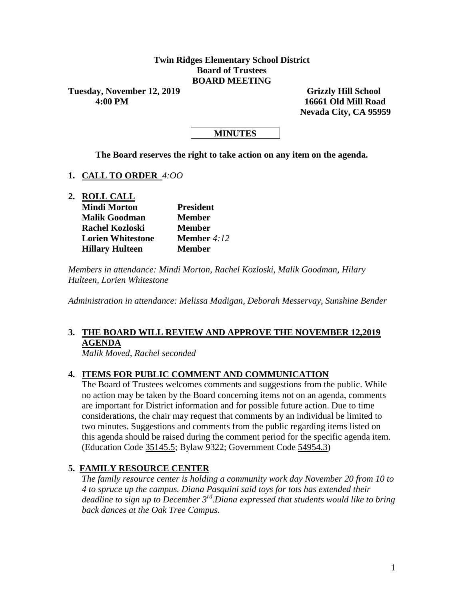### **Twin Ridges Elementary School District Board of Trustees BOARD MEETING**

**Tuesday, November 12, 2019 Grizzly Hill School 4:00 PM 16661 Old Mill Road**

 **Nevada City, CA 95959**

### **MINUTES**

**The Board reserves the right to take action on any item on the agenda.**

- **1. CALL TO ORDER** *4:OO*
- **2. ROLL CALL**

| <b>Mindi Morton</b>      | <b>President</b>     |
|--------------------------|----------------------|
| <b>Malik Goodman</b>     | <b>Member</b>        |
| <b>Rachel Kozloski</b>   | <b>Member</b>        |
| <b>Lorien Whitestone</b> | <b>Member</b> $4:12$ |
| <b>Hillary Hulteen</b>   | Member               |

*Members in attendance: Mindi Morton, Rachel Kozloski, Malik Goodman, Hilary Hulteen, Lorien Whitestone*

*Administration in attendance: Melissa Madigan, Deborah Messervay, Sunshine Bender*

## **3. THE BOARD WILL REVIEW AND APPROVE THE NOVEMBER 12,2019 AGENDA**

*Malik Moved, Rachel seconded* 

### **4. ITEMS FOR PUBLIC COMMENT AND COMMUNICATION**

The Board of Trustees welcomes comments and suggestions from the public. While no action may be taken by the Board concerning items not on an agenda, comments are important for District information and for possible future action. Due to time considerations, the chair may request that comments by an individual be limited to two minutes. Suggestions and comments from the public regarding items listed on this agenda should be raised during the comment period for the specific agenda item. (Education Code 35145.5; Bylaw 9322; Government Code 54954.3)

### **5. FAMILY RESOURCE CENTER**

*The family resource center is holding a community work day November 20 from 10 to 4 to spruce up the campus. Diana Pasquini said toys for tots has extended their deadline to sign up to December 3rd.Diana expressed that students would like to bring back dances at the Oak Tree Campus.*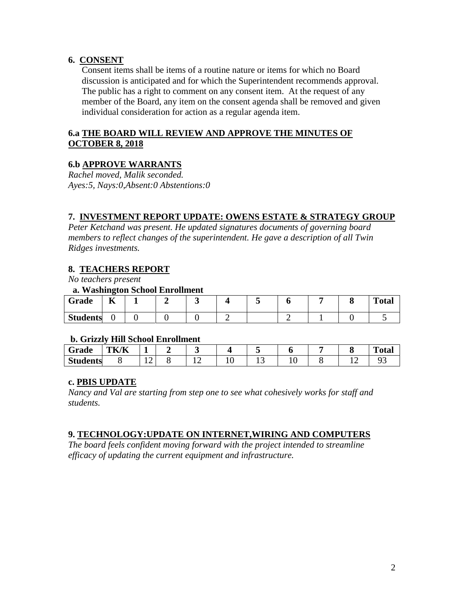### **6. CONSENT**

Consent items shall be items of a routine nature or items for which no Board discussion is anticipated and for which the Superintendent recommends approval. The public has a right to comment on any consent item. At the request of any member of the Board, any item on the consent agenda shall be removed and given individual consideration for action as a regular agenda item.

### **6.a THE BOARD WILL REVIEW AND APPROVE THE MINUTES OF OCTOBER 8, 2018**

## **6.b APPROVE WARRANTS**

*Rachel moved, Malik seconded. Ayes:5, Nays:0,Absent:0 Abstentions:0*

### **7. INVESTMENT REPORT UPDATE: OWENS ESTATE & STRATEGY GROUP**

*Peter Ketchand was present. He updated signatures documents of governing board members to reflect changes of the superintendent. He gave a description of all Twin Ridges investments.* 

## **8. TEACHERS REPORT**

*No teachers present*

### **a. Washington School Enrollment**

| Grade           | $-$<br>T7 |  |  |  |  | <b>Total</b> |
|-----------------|-----------|--|--|--|--|--------------|
| <b>Students</b> |           |  |  |  |  |              |

#### **b. Grizzly Hill School Enrollment**

| $\sim$<br>Grade | TK/K | -<br>- |    |     |    |                 |     | m<br>`otal |
|-----------------|------|--------|----|-----|----|-----------------|-----|------------|
| <b>Students</b> |      | --     | -- | . . | ⊥ື | . .<br><b>.</b> | . . |            |

### **c. PBIS UPDATE**

*Nancy and Val are starting from step one to see what cohesively works for staff and students.* 

### **9. TECHNOLOGY:UPDATE ON INTERNET,WIRING AND COMPUTERS**

*The board feels confident moving forward with the project intended to streamline efficacy of updating the current equipment and infrastructure.*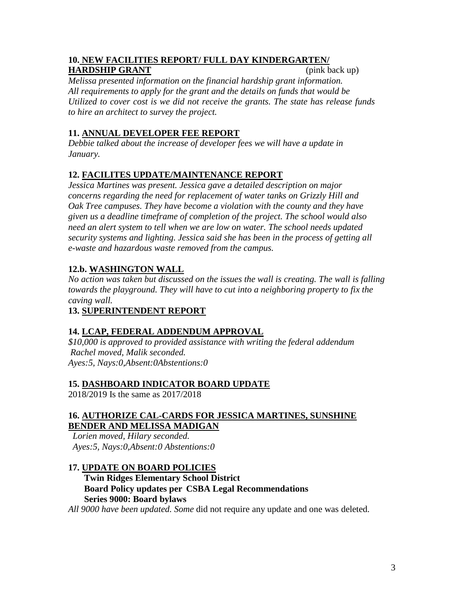### **10. NEW FACILITIES REPORT/ FULL DAY KINDERGARTEN/ HARDSHIP GRANT** (pink back up)

*Melissa presented information on the financial hardship grant information. All requirements to apply for the grant and the details on funds that would be Utilized to cover cost is we did not receive the grants. The state has release funds to hire an architect to survey the project.* 

# **11. ANNUAL DEVELOPER FEE REPORT**

*Debbie talked about the increase of developer fees we will have a update in January.*

# **12. FACILITES UPDATE/MAINTENANCE REPORT**

*Jessica Martines was present. Jessica gave a detailed description on major concerns regarding the need for replacement of water tanks on Grizzly Hill and Oak Tree campuses. They have become a violation with the county and they have given us a deadline timeframe of completion of the project. The school would also need an alert system to tell when we are low on water. The school needs updated security systems and lighting. Jessica said she has been in the process of getting all e-waste and hazardous waste removed from the campus.* 

# **12.b. WASHINGTON WALL**

*No action was taken but discussed on the issues the wall is creating. The wall is falling towards the playground. They will have to cut into a neighboring property to fix the caving wall.* 

# **13. SUPERINTENDENT REPORT**

# **14. LCAP, FEDERAL ADDENDUM APPROVAL**

*\$10,000 is approved to provided assistance with writing the federal addendum Rachel moved, Malik seconded. Ayes:5, Nays:0,Absent:0Abstentions:0*

# **15. DASHBOARD INDICATOR BOARD UPDATE**

2018/2019 Is the same as 2017/2018

## **16. AUTHORIZE CAL-CARDS FOR JESSICA MARTINES, SUNSHINE BENDER AND MELISSA MADIGAN**

*Lorien moved, Hilary seconded. Ayes:5, Nays:0,Absent:0 Abstentions:0*

# **17. UPDATE ON BOARD POLICIES**

## **Twin Ridges Elementary School District Board Policy updates per CSBA Legal Recommendations Series 9000: Board bylaws**

*All 9000 have been updated. Some* did not require any update and one was deleted.